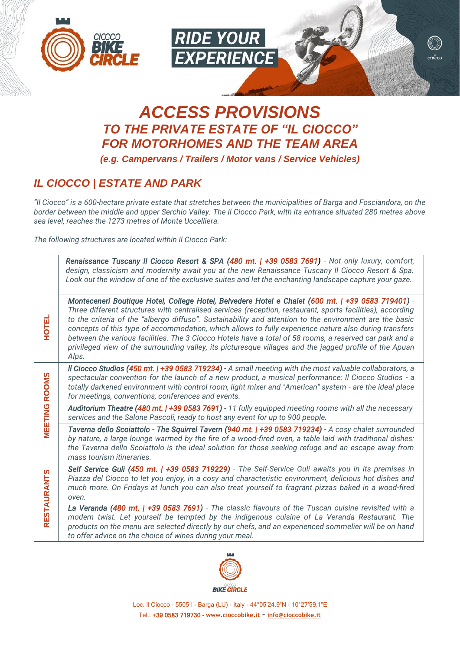



ciocco

# *ACCESS PROVISIONS TO THE PRIVATE ESTATE OF "IL CIOCCO" FOR MOTORHOMES AND THE TEAM AREA*

*(e.g. Campervans / Trailers / Motor vans / Service Vehicles)*

## *IL CIOCCO | ESTATE AND PARK*

*"Il Ciocco" is a 600-hectare private estate that stretches between the municipalities of Barga and Fosciandora, on the border between the middle and upper Serchio Valley. The Il Ciocco Park, with its entrance situated 280 metres above sea level, reaches the 1273 metres of Monte Uccelliera.*

*The following structures are located within Il Ciocco Park:*

| <b>HOTEL</b>         | Renaissance Tuscany Il Ciocco Resort & SPA (480 mt.   +39 0583 7691) - Not only luxury, comfort,<br>design, classicism and modernity await you at the new Renaissance Tuscany II Ciocco Resort & Spa.<br>Look out the window of one of the exclusive suites and let the enchanting landscape capture your gaze.                                                                                                                                                                                                                                                                                                                                                    |
|----------------------|--------------------------------------------------------------------------------------------------------------------------------------------------------------------------------------------------------------------------------------------------------------------------------------------------------------------------------------------------------------------------------------------------------------------------------------------------------------------------------------------------------------------------------------------------------------------------------------------------------------------------------------------------------------------|
|                      | Monteceneri Boutique Hotel, College Hotel, Belvedere Hotel e Chalet (600 mt.   +39 0583 719401) -<br>Three different structures with centralised services (reception, restaurant, sports facilities), according<br>to the criteria of the "albergo diffuso". Sustainability and attention to the environment are the basic<br>concepts of this type of accommodation, which allows to fully experience nature also during transfers<br>between the various facilities. The 3 Ciocco Hotels have a total of 58 rooms, a reserved car park and a<br>privileged view of the surrounding valley, its picturesque villages and the jagged profile of the Apuan<br>Alps. |
| <b>MEETING ROOMS</b> | Il Ciocco Studios (450 mt.   +39 0583 719234) - A small meeting with the most valuable collaborators, a<br>spectacular convention for the launch of a new product, a musical performance: Il Ciocco Studios - a<br>totally darkened environment with control room, light mixer and "American" system - are the ideal place<br>for meetings, conventions, conferences and events.                                                                                                                                                                                                                                                                                   |
|                      | Auditorium Theatre (480 mt.   +39 0583 7691) - 11 fully equipped meeting rooms with all the necessary<br>services and the Salone Pascoli, ready to host any event for up to 900 people.                                                                                                                                                                                                                                                                                                                                                                                                                                                                            |
|                      | Taverna dello Scoiattolo - The Squirrel Tavern (940 mt.   +39 0583 719234) - A cosy chalet surrounded<br>by nature, a large lounge warmed by the fire of a wood-fired oven, a table laid with traditional dishes:<br>the Taverna dello Scoiattolo is the ideal solution for those seeking refuge and an escape away from<br>mass tourism itineraries.                                                                                                                                                                                                                                                                                                              |
| <b>RESTAURANTS</b>   | Self Service Gulì (450 mt.   +39 0583 719229) - The Self-Service Gulì awaits you in its premises in<br>Piazza del Ciocco to let you enjoy, in a cosy and characteristic environment, delicious hot dishes and<br>much more. On Fridays at lunch you can also treat yourself to fragrant pizzas baked in a wood-fired<br>oven.                                                                                                                                                                                                                                                                                                                                      |
|                      | La Veranda (480 mt.   +39 0583 7691) - The classic flavours of the Tuscan cuisine revisited with a<br>modern twist. Let yourself be tempted by the indigenous cuisine of La Veranda Restaurant. The<br>products on the menu are selected directly by our chefs, and an experienced sommelier will be on hand<br>to offer advice on the choice of wines during your meal.                                                                                                                                                                                                                                                                                           |
|                      |                                                                                                                                                                                                                                                                                                                                                                                                                                                                                                                                                                                                                                                                    |



Loc. Il Ciocco - 55051 - Barga (LU) - Italy - 44°05'24.9"N - 10°27'59.1"E Tel.: +39 0583 719730 - **[www.cioccobike.it](http://www.cioccobike.it/)** - **[info@cioccobike.it](mailto:info@cioccobike.it)**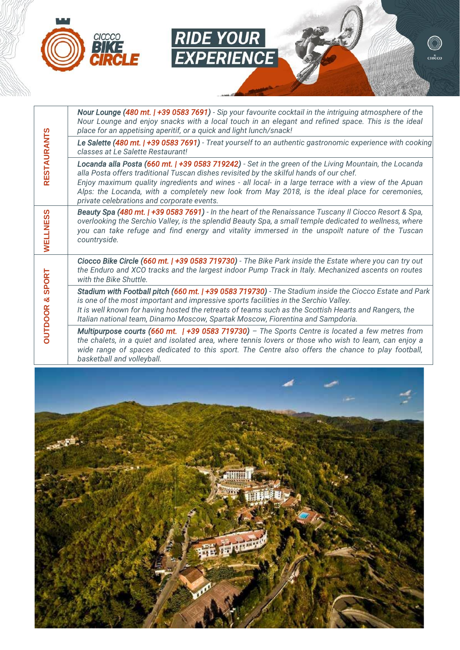

|                     | Nour Lounge (480 mt.   +39 0583 7691) - Sip your favourite cocktail in the intriguing atmosphere of the<br>Nour Lounge and enjoy snacks with a local touch in an elegant and refined space. This is the ideal<br>place for an appetising aperitif, or a quick and light lunch/snack!                                                                                                                                                                      |
|---------------------|-----------------------------------------------------------------------------------------------------------------------------------------------------------------------------------------------------------------------------------------------------------------------------------------------------------------------------------------------------------------------------------------------------------------------------------------------------------|
|                     | Le Salette (480 mt.   +39 0583 7691) - Treat yourself to an authentic gastronomic experience with cooking<br>classes at Le Salette Restaurant!                                                                                                                                                                                                                                                                                                            |
| <b>RESTAURANTS</b>  | Locanda alla Posta (660 mt.   +39 0583 719242) - Set in the green of the Living Mountain, the Locanda<br>alla Posta offers traditional Tuscan dishes revisited by the skilful hands of our chef.<br>Enjoy maximum quality ingredients and wines - all local- in a large terrace with a view of the Apuan<br>Alps: the Locanda, with a completely new look from May 2018, is the ideal place for ceremonies,<br>private celebrations and corporate events. |
| WELLNESS            | Beauty Spa (480 mt.   +39 0583 7691) - In the heart of the Renaissance Tuscany II Ciocco Resort & Spa,<br>overlooking the Serchio Valley, is the splendid Beauty Spa, a small temple dedicated to wellness, where<br>you can take refuge and find energy and vitality immersed in the unspoilt nature of the Tuscan<br>countryside.                                                                                                                       |
| <b>SPORT</b>        | Ciocco Bike Circle (660 mt.   +39 0583 719730) - The Bike Park inside the Estate where you can try out<br>the Enduro and XCO tracks and the largest indoor Pump Track in Italy. Mechanized ascents on routes<br>with the Bike Shuttle.                                                                                                                                                                                                                    |
| ×<br><b>OUTDOOR</b> | Stadium with Football pitch (660 mt.   +39 0583 719730) - The Stadium inside the Ciocco Estate and Park<br>is one of the most important and impressive sports facilities in the Serchio Valley.<br>It is well known for having hosted the retreats of teams such as the Scottish Hearts and Rangers, the<br>Italian national team, Dinamo Moscow, Spartak Moscow, Fiorentina and Sampdoria.                                                               |
|                     | Multipurpose courts (660 mt. $\mid$ +39 0583 719730) - The Sports Centre is located a few metres from<br>the chalets, in a quiet and isolated area, where tennis lovers or those who wish to learn, can enjoy a<br>wide range of spaces dedicated to this sport. The Centre also offers the chance to play football,<br>basketball and volleyball.                                                                                                        |
|                     |                                                                                                                                                                                                                                                                                                                                                                                                                                                           |

**RIDE YOUR<br>EXPERIENCE** 

 $\circledcirc$  $\overline{\text{croceo}}$ 

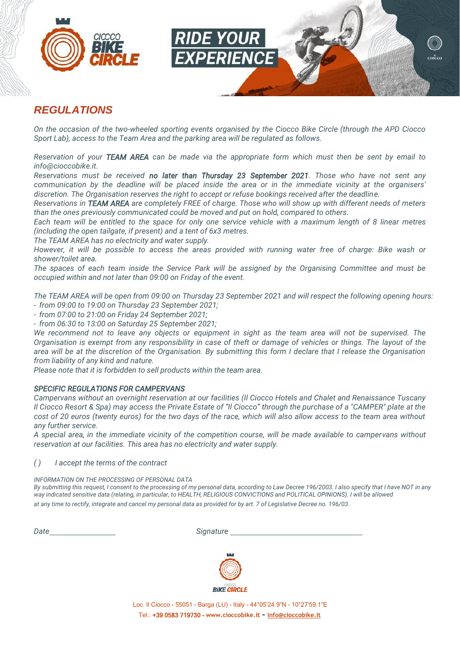



## *REGULATIONS*

*On the occasion of the two-wheeled sporting events organised by the Ciocco Bike Circle (through the APD Ciocco Sport Lab), access to the Team Area and the parking area will be regulated as follows.*

*Reservation of your TEAM AREA can be made via the appropriate form which must then be sent by email to [info@cioccobike.it.](mailto:info@cioccobike.it)*

*Reservations must be received no later than Thursday 23 September 2021. Those who have not sent any communication by the deadline will be placed inside the area or in the immediate vicinity at the organisers' discretion. The Organisation reserves the right to accept or refuse bookings received after the deadline.*

*Reservations in TEAM AREA are completely FREE of charge. Those who will show up with different needs of meters than the ones previously communicated could be moved and put on hold, compared to others.*

*Each team will be entitled to the space for only one service vehicle with a maximum length of 8 linear metres (including the open tailgate, if present) and a tent of 6x3 metres.*

*The TEAM AREA has no electricity and water supply.*

*However, it will be possible to access the areas provided with running water free of charge: Bike wash or shower/toilet area.*

*The spaces of each team inside the Service Park will be assigned by the Organising Committee and must be occupied within and not later than 09:00 on Friday of the event.*

*The TEAM AREA will be open from 09:00 on Thursday 23 September 2021 and will respect the following opening hours: - from 09:00 to 19:00 on Thursday 23 September 2021;*

*- from 07:00 to 21:00 on Friday 24 September 2021;*

*- from 06:30 to 13:00 on Saturday 25 September 2021;*

*We recommend not to leave any objects or equipment in sight as the team area will not be supervised. The Organisation is exempt from any responsibility in case of theft or damage of vehicles or things. The layout of the area will be at the discretion of the Organisation. By submitting this form I declare that I release the Organisation from liability of any kind and nature.*

*Please note that it is forbidden to sell products within the team area.*

#### *SPECIFIC REGULATIONS FOR CAMPERVANS*

*Campervans without an overnight reservation at our facilities (Il Ciocco Hotels and Chalet and Renaissance Tuscany Il Ciocco Resort & Spa) may access the Private Estate of "Il Ciocco" through the purchase of a "CAMPER" plate at the cost of 20 euros (twenty euros) for the two days of the race, which will also allow access to the team area without any further service.*

*A special area, in the immediate vicinity of the competition course, will be made available to campervans without reservation at our facilities. This area has no electricity and water supply.*

#### *( ) I accept the terms of the contract*

*INFORMATION ON THE PROCESSING OF PERSONAL DATA*

*By submitting this request, I consent to the processing of my personal data, according to Law Decree 196/2003. I also specify that I have NOT in any way indicated sensitive data (relating, in particular, to HEALTH, RELIGIOUS CONVICTIONS and POLITICAL OPINIONS). I will be allowed at any time to rectify, integrate and cancel my personal data as provided for by art. 7 of Legislative Decree no. 196/03.*

*Date Signature* 



Loc. Il Ciocco - 55051 - Barga (LU) - Italy - 44°05'24.9"N - 10°27'59.1"E Tel.: +39 0583 719730 - **[www.cioccobike.it](http://www.cioccobike.it/)** - **[info@cioccobike.it](mailto:info@cioccobike.it)**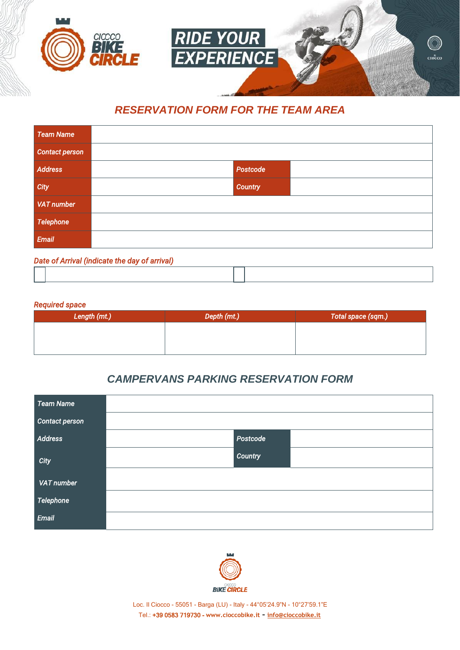

## *RESERVATION FORM FOR THE TEAM AREA*

| <b>Team Name</b>                                                                                                |                |  |  |  |
|-----------------------------------------------------------------------------------------------------------------|----------------|--|--|--|
| Contact person                                                                                                  |                |  |  |  |
| Address                                                                                                         | Postcode       |  |  |  |
| City                                                                                                            | <b>Country</b> |  |  |  |
| <b>VAT number</b>                                                                                               |                |  |  |  |
| Telephone                                                                                                       |                |  |  |  |
| Email                                                                                                           |                |  |  |  |
| the contract of the contract of the contract of the contract of the contract of the contract of the contract of |                |  |  |  |

### *Date of Arrival (indicate the day of arrival)*

#### *Required space*

| Length (mt.) | Depth (mt.) | Total space (sqm.) |
|--------------|-------------|--------------------|
|              |             |                    |
|              |             |                    |
|              |             |                    |

## *CAMPERVANS PARKING RESERVATION FORM*

| <b>Team Name</b>      |          |
|-----------------------|----------|
| <b>Contact person</b> |          |
| <b>Address</b>        | Postcode |
| City                  | Country  |
| <b>VAT number</b>     |          |
| <b>Telephone</b>      |          |
| Email                 |          |



Loc. Il Ciocco - 55051 - Barga (LU) - Italy - 44°05'24.9"N - 10°27'59.1"E Tel.: +39 0583 719730 - **[www.cioccobike.it](http://www.cioccobike.it/)** - **[info@cioccobike.it](mailto:info@cioccobike.it)**